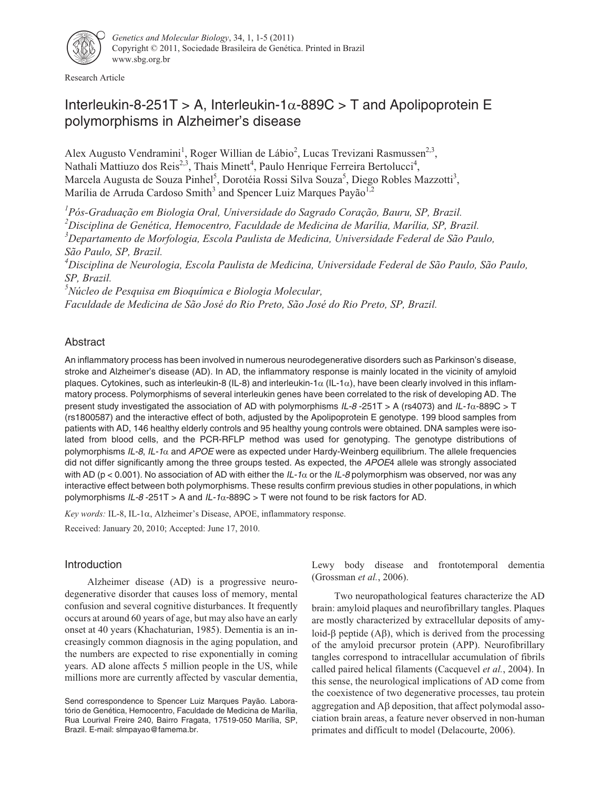

Research Article

# Interleukin-8-251T > A, Interleukin-1 $\alpha$ -889C > T and Apolipoprotein E polymorphisms in Alzheimer's disease

Alex Augusto Vendramini<sup>1</sup>, Roger Willian de Lábio<sup>2</sup>, Lucas Trevizani Rasmussen<sup>2,3</sup>, Nathali Mattiuzo dos Reis<sup>2,3</sup>, Thais Minett<sup>4</sup>, Paulo Henrique Ferreira Bertolucci<sup>4</sup>, Marcela Augusta de Souza Pinhel<sup>5</sup>, Dorotéia Rossi Silva Souza<sup>5</sup>, Diego Robles Mazzotti<sup>3</sup>, Marília de Arruda Cardoso Smith<sup>3</sup> and Spencer Luiz Marques Payão<sup>1,2</sup>

 *Pós-Graduação em Biologia Oral, Universidade do Sagrado Coração, Bauru, SP, Brazil. Disciplina de Genética, Hemocentro, Faculdade de Medicina de Marília, Marília, SP, Brazil. Departamento de Morfologia, Escola Paulista de Medicina, Universidade Federal de São Paulo, São Paulo, SP, Brazil.*

*4 Disciplina de Neurologia, Escola Paulista de Medicina, Universidade Federal de São Paulo, São Paulo, SP, Brazil.*

*5 Núcleo de Pesquisa em Bioquímica e Biologia Molecular,*

*Faculdade de Medicina de São José do Rio Preto, São José do Rio Preto, SP, Brazil.*

# Abstract

An inflammatory process has been involved in numerous neurodegenerative disorders such as Parkinson's disease, stroke and Alzheimer's disease (AD). In AD, the inflammatory response is mainly located in the vicinity of amyloid plaques. Cytokines, such as interleukin-8 (IL-8) and interleukin-1 $\alpha$  (IL-1 $\alpha$ ), have been clearly involved in this inflammatory process. Polymorphisms of several interleukin genes have been correlated to the risk of developing AD. The present study investigated the association of AD with polymorphisms IL-8 -251T > A (rs4073) and IL-1 $\alpha$ -889C > T (rs1800587) and the interactive effect of both, adjusted by the Apolipoprotein E genotype. 199 blood samples from patients with AD, 146 healthy elderly controls and 95 healthy young controls were obtained. DNA samples were isolated from blood cells, and the PCR-RFLP method was used for genotyping. The genotype distributions of polymorphisms IL-8, IL-1 $\alpha$  and APOE were as expected under Hardy-Weinberg equilibrium. The allele frequencies did not differ significantly among the three groups tested. As expected, the APOE4 allele was strongly associated with AD (p < 0.001). No association of AD with either the IL-1 $\alpha$  or the IL-8 polymorphism was observed, nor was any interactive effect between both polymorphisms. These results confirm previous studies in other populations, in which polymorphisms IL-8-251T > A and IL-1 $\alpha$ -889C > T were not found to be risk factors for AD.

Key words: IL-8, IL-1α, Alzheimer's Disease, APOE, inflammatory response.

Received: January 20, 2010; Accepted: June 17, 2010.

# Introduction

Alzheimer disease (AD) is a progressive neurodegenerative disorder that causes loss of memory, mental confusion and several cognitive disturbances. It frequently occurs at around 60 years of age, but may also have an early onset at 40 years (Khachaturian, 1985). Dementia is an increasingly common diagnosis in the aging population, and the numbers are expected to rise exponentially in coming years. AD alone affects 5 million people in the US, while millions more are currently affected by vascular dementia, Lewy body disease and frontotemporal dementia (Grossman *et al.*, 2006).

Two neuropathological features characterize the AD brain: amyloid plaques and neurofibrillary tangles. Plaques are mostly characterized by extracellular deposits of amyloid- $\beta$  peptide (A $\beta$ ), which is derived from the processing of the amyloid precursor protein (APP). Neurofibrillary tangles correspond to intracellular accumulation of fibrils called paired helical filaments (Cacquevel *et al.*, 2004). In this sense, the neurological implications of AD come from the coexistence of two degenerative processes, tau protein aggregation and  $\Delta\beta$  deposition, that affect polymodal association brain areas, a feature never observed in non-human primates and difficult to model (Delacourte, 2006).

Send correspondence to Spencer Luiz Marques Payão. Laboratório de Genética, Hemocentro, Faculdade de Medicina de Marília, Rua Lourival Freire 240, Bairro Fragata, 17519-050 Marília, SP, Brazil. E-mail: slmpayao@famema.br.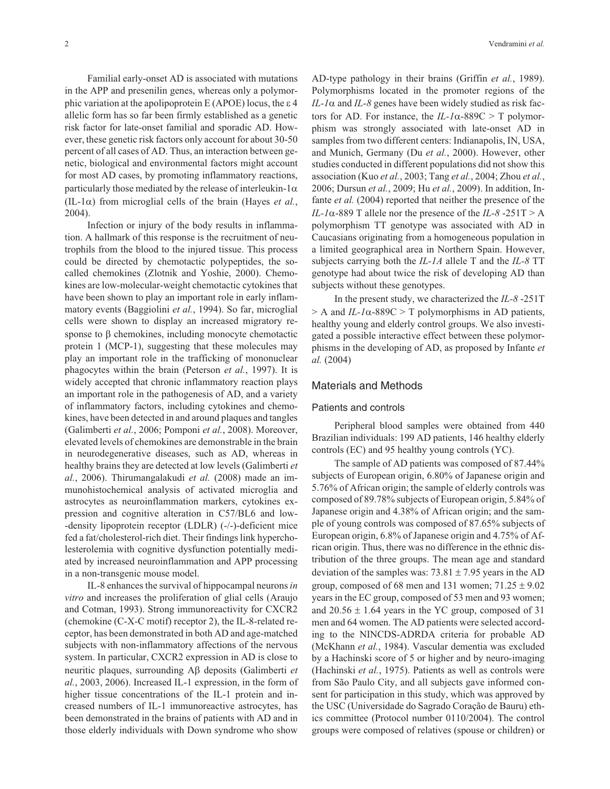Familial early-onset AD is associated with mutations in the APP and presenilin genes, whereas only a polymorphic variation at the apolipoprotein E (APOE) locus, the  $\varepsilon$  4 allelic form has so far been firmly established as a genetic risk factor for late-onset familial and sporadic AD. However, these genetic risk factors only account for about 30-50 percent of all cases of AD. Thus, an interaction between genetic, biological and environmental factors might account for most AD cases, by promoting inflammatory reactions, particularly those mediated by the release of interleukin-1 $\alpha$  $(IL-I\alpha)$  from microglial cells of the brain (Hayes *et al.*, 2004).

Infection or injury of the body results in inflammation. A hallmark of this response is the recruitment of neutrophils from the blood to the injured tissue. This process could be directed by chemotactic polypeptides, the socalled chemokines (Zlotnik and Yoshie, 2000). Chemokines are low-molecular-weight chemotactic cytokines that have been shown to play an important role in early inflammatory events (Baggiolini *et al.*, 1994). So far, microglial cells were shown to display an increased migratory response to  $\beta$  chemokines, including monocyte chemotactic protein 1 (MCP-1), suggesting that these molecules may play an important role in the trafficking of mononuclear phagocytes within the brain (Peterson *et al.*, 1997). It is widely accepted that chronic inflammatory reaction plays an important role in the pathogenesis of AD, and a variety of inflammatory factors, including cytokines and chemokines, have been detected in and around plaques and tangles (Galimberti *et al.*, 2006; Pomponi *et al.*, 2008). Moreover, elevated levels of chemokines are demonstrable in the brain in neurodegenerative diseases, such as AD, whereas in healthy brains they are detected at low levels (Galimberti *et al.*, 2006). Thirumangalakudi *et al.* (2008) made an immunohistochemical analysis of activated microglia and astrocytes as neuroinflammation markers, cytokines expression and cognitive alteration in C57/BL6 and low- -density lipoprotein receptor (LDLR) (-/-)-deficient mice fed a fat/cholesterol-rich diet. Their findings link hypercholesterolemia with cognitive dysfunction potentially mediated by increased neuroinflammation and APP processing in a non-transgenic mouse model.

IL-8 enhances the survival of hippocampal neurons*in vitro* and increases the proliferation of glial cells (Araujo and Cotman, 1993). Strong immunoreactivity for CXCR2 (chemokine (C-X-C motif) receptor 2), the IL-8-related receptor, has been demonstrated in both AD and age-matched subjects with non-inflammatory affections of the nervous system. In particular, CXCR2 expression in AD is close to neuritic plaques, surrounding Aβ deposits (Galimberti *et al.*, 2003, 2006). Increased IL-1 expression, in the form of higher tissue concentrations of the IL-1 protein and increased numbers of IL-1 immunoreactive astrocytes, has been demonstrated in the brains of patients with AD and in those elderly individuals with Down syndrome who show

AD-type pathology in their brains (Griffin *et al.*, 1989). Polymorphisms located in the promoter regions of the  $IL$ - $I\alpha$  and  $IL$ - $8$  genes have been widely studied as risk factors for AD. For instance, the  $IL-I\alpha$ -889C > T polymorphism was strongly associated with late-onset AD in samples from two different centers: Indianapolis, IN, USA, and Munich, Germany (Du *et al.*, 2000). However, other studies conducted in different populations did not show this association (Kuo *et al.*, 2003; Tang *et al.*, 2004; Zhou *et al.*, 2006; Dursun *et al.*, 2009; Hu *et al.*, 2009). In addition, Infante *et al.* (2004) reported that neither the presence of the  $IL-I\alpha$ -889 T allele nor the presence of the  $IL-\delta$ -251T > A polymorphism TT genotype was associated with AD in Caucasians originating from a homogeneous population in a limited geographical area in Northern Spain. However, subjects carrying both the *IL-1A* allele T and the *IL-8* TT genotype had about twice the risk of developing AD than subjects without these genotypes.

In the present study, we characterized the *IL-8* -251T  $> A$  and *IL-1* $\alpha$ -889C  $> T$  polymorphisms in AD patients, healthy young and elderly control groups. We also investigated a possible interactive effect between these polymorphisms in the developing of AD, as proposed by Infante *et al.* (2004)

# Materials and Methods

#### Patients and controls

Peripheral blood samples were obtained from 440 Brazilian individuals: 199 AD patients, 146 healthy elderly controls (EC) and 95 healthy young controls (YC).

The sample of AD patients was composed of 87.44% subjects of European origin, 6.80% of Japanese origin and 5.76% of African origin; the sample of elderly controls was composed of 89.78% subjects of European origin, 5.84% of Japanese origin and 4.38% of African origin; and the sample of young controls was composed of 87.65% subjects of European origin, 6.8% of Japanese origin and 4.75% of African origin. Thus, there was no difference in the ethnic distribution of the three groups. The mean age and standard deviation of the samples was:  $73.81 \pm 7.95$  years in the AD group, composed of 68 men and 131 women;  $71.25 \pm 9.02$ years in the EC group, composed of 53 men and 93 women; and  $20.56 \pm 1.64$  years in the YC group, composed of 31 men and 64 women. The AD patients were selected according to the NINCDS-ADRDA criteria for probable AD (McKhann *et al.*, 1984). Vascular dementia was excluded by a Hachinski score of 5 or higher and by neuro-imaging (Hachinski *et al.*, 1975). Patients as well as controls were from São Paulo City, and all subjects gave informed consent for participation in this study, which was approved by the USC (Universidade do Sagrado Coração de Bauru) ethics committee (Protocol number 0110/2004). The control groups were composed of relatives (spouse or children) or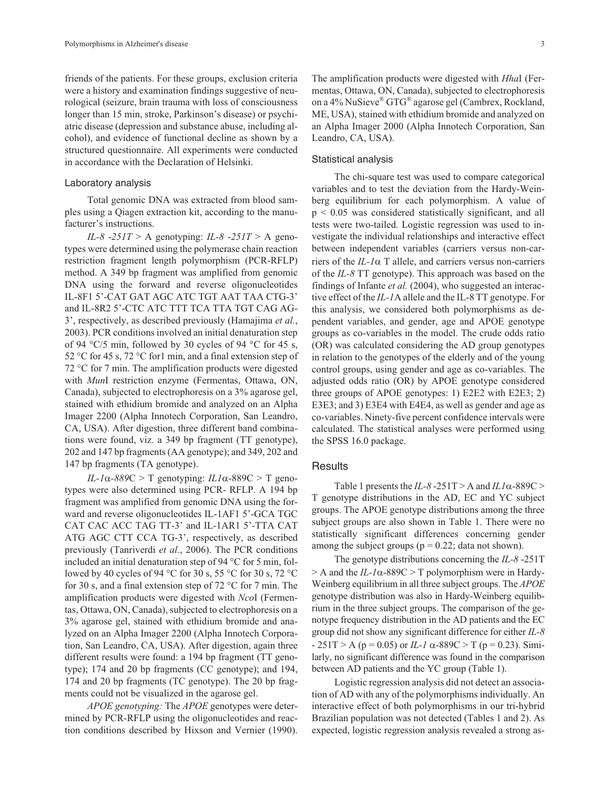friends of the patients. For these groups, exclusion criteria were a history and examination findings suggestive of neurological (seizure, brain trauma with loss of consciousness longer than 15 min, stroke, Parkinson's disease) or psychiatric disease (depression and substance abuse, including alcohol), and evidence of functional decline as shown by a structured questionnaire. All experiments were conducted in accordance with the Declaration of Helsinki.

# Laboratory analysis

Total genomic DNA was extracted from blood samples using a Qiagen extraction kit, according to the manufacturer's instructions.

*IL-8* -251T > A genotyping: *IL-8* -251T > A genotypes were determined using the polymerase chain reaction restriction fragment length polymorphism (PCR-RFLP) method. A 349 bp fragment was amplified from genomic DNA using the forward and reverse oligonucleotides IL-8F1 5'-CAT GAT AGC ATC TGT AAT TAA CTG-3' and IL-8R2 5'-CTC ATC TTT TCA TTA TGT CAG AG-3', respectively, as described previously (Hamajima *et al.*, 2003). PCR conditions involved an initial denaturation step of 94  $\degree$ C/5 min, followed by 30 cycles of 94  $\degree$ C for 45 s, 52 °C for 45 s, 72 °C for1 min, and a final extension step of 72 °C for 7 min. The amplification products were digested with *Mun*I restriction enzyme (Fermentas, Ottawa, ON, Canada), subjected to electrophoresis on a 3% agarose gel, stained with ethidium bromide and analyzed on an Alpha Imager 2200 (Alpha Innotech Corporation, San Leandro, CA, USA). After digestion, three different band combinations were found, viz. a 349 bp fragment (TT genotype), 202 and 147 bp fragments (AA genotype); and 349, 202 and 147 bp fragments (TA genotype).

 $IL-I\alpha-889C > T$  genotyping:  $ILI\alpha-889C > T$  genotypes were also determined using PCR- RFLP. A 194 bp fragment was amplified from genomic DNA using the forward and reverse oligonucleotides IL-1AF1 5'-GCA TGC CAT CAC ACC TAG TT-3' and IL-1AR1 5'-TTA CAT ATG AGC CTT CCA TG-3', respectively, as described previously (Tanriverdi *et al.*, 2006). The PCR conditions included an initial denaturation step of 94 °C for 5 min, followed by 40 cycles of 94 °C for 30 s, 55 °C for 30 s, 72 °C for 30 s, and a final extension step of 72 °C for 7 min. The amplification products were digested with *Nco*I (Fermentas, Ottawa, ON, Canada), subjected to electrophoresis on a 3% agarose gel, stained with ethidium bromide and analyzed on an Alpha Imager 2200 (Alpha Innotech Corporation, San Leandro, CA, USA). After digestion, again three different results were found: a 194 bp fragment (TT genotype); 174 and 20 bp fragments (CC genotype); and 194, 174 and 20 bp fragments (TC genotype). The 20 bp fragments could not be visualized in the agarose gel.

*APOE genotyping:* The *APOE* genotypes were determined by PCR-RFLP using the oligonucleotides and reaction conditions described by Hixson and Vernier (1990).

The amplification products were digested with *Hha*I (Fermentas, Ottawa, ON, Canada), subjected to electrophoresis on a 4% NuSieve® GTG® agarose gel (Cambrex, Rockland, ME, USA), stained with ethidium bromide and analyzed on an Alpha Imager 2000 (Alpha Innotech Corporation, San Leandro, CA, USA).

#### Statistical analysis

The chi-square test was used to compare categorical variables and to test the deviation from the Hardy-Weinberg equilibrium for each polymorphism. A value of p < 0.05 was considered statistically significant, and all tests were two-tailed. Logistic regression was used to investigate the individual relationships and interactive effect between independent variables (carriers versus non-carriers of the  $IL-I\alpha$  T allele, and carriers versus non-carriers of the *IL-8* TT genotype). This approach was based on the findings of Infante *et al.* (2004), who suggested an interactive effect of the *IL-1*A allele and the IL-8 TT genotype. For this analysis, we considered both polymorphisms as dependent variables, and gender, age and APOE genotype groups as co-variables in the model. The crude odds ratio (OR) was calculated considering the AD group genotypes in relation to the genotypes of the elderly and of the young control groups, using gender and age as co-variables. The adjusted odds ratio (OR) by APOE genotype considered three groups of APOE genotypes: 1) E2E2 with E2E3; 2) E3E3; and 3) E3E4 with E4E4, as well as gender and age as co-variables. Ninety-five percent confidence intervals were calculated. The statistical analyses were performed using the SPSS 16.0 package.

# **Results**

Table 1 presents the  $IL-8-251T$  > A and  $IL1\alpha$ -889C > T genotype distributions in the AD, EC and YC subject groups. The APOE genotype distributions among the three subject groups are also shown in Table 1. There were no statistically significant differences concerning gender among the subject groups ( $p = 0.22$ ; data not shown).

The genotype distributions concerning the *IL-8* -251T  $> A$  and the *IL-1* $\alpha$ -889C  $> T$  polymorphism were in Hardy-Weinberg equilibrium in all three subject groups. The *APOE* genotype distribution was also in Hardy-Weinberg equilibrium in the three subject groups. The comparison of the genotype frequency distribution in the AD patients and the EC group did not show any significant difference for either *IL-8*  $-251$ T > A (p = 0.05) or *IL-1*  $\alpha$ -889C > T (p = 0.23). Similarly, no significant difference was found in the comparison between AD patients and the YC group (Table 1).

Logistic regression analysis did not detect an association of AD with any of the polymorphisms individually. An interactive effect of both polymorphisms in our tri-hybrid Brazilian population was not detected (Tables 1 and 2). As expected, logistic regression analysis revealed a strong as-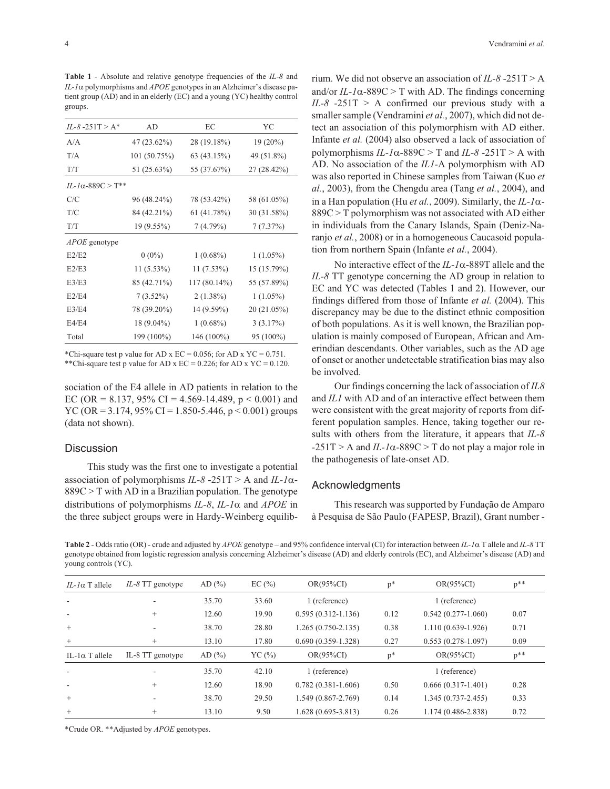**Table 1** - Absolute and relative genotype frequencies of the *IL-8* and *IL-1* α polymorphisms and *APOE* genotypes in an Alzheimer's disease patient group (AD) and in an elderly (EC) and a young (YC) healthy control groups.

| $IL-8-251T > A^*$            | AD           | EC             | YC          |
|------------------------------|--------------|----------------|-------------|
| A/A                          | 47 (23.62%)  | 28 (19.18%)    | $19(20\%)$  |
| T/A                          | 101 (50.75%) | 63 (43.15%)    | 49 (51.8%)  |
| T/T                          | 51 (25.63%)  | 55 (37.67%)    | 27 (28.42%) |
| IL-1α-889C > T <sup>**</sup> |              |                |             |
| C/C                          | 96 (48.24%)  | 78 (53.42%)    | 58 (61.05%) |
| T/C                          | 84 (42.21%)  | 61 (41.78%)    | 30 (31.58%) |
| T/T                          | $19(9.55\%)$ | 7(4.79%)       | 7(7.37%)    |
| <i>APOE</i> genotype         |              |                |             |
| E2/E2                        | $0(0\%)$     | $1(0.68\%)$    | $1(1.05\%)$ |
| E2/E3                        | 11 (5.53%)   | $11(7.53\%)$   | 15 (15.79%) |
| E3/E3                        | 85 (42.71%)  | $117(80.14\%)$ | 55 (57.89%) |
| E2/E4                        | $7(3.52\%)$  | $2(1.38\%)$    | $1(1.05\%)$ |
| E3/E4                        | 78 (39.20%)  | 14 (9.59%)     | 20 (21.05%) |
| E4/E4                        | 18 (9.04%)   | $1(0.68\%)$    | 3(3.17%)    |
| Total                        | 199 (100%)   | 146 (100%)     | 95 (100%)   |
|                              |              |                |             |

\*Chi-square test p value for AD x EC = 0.056; for AD x YC = 0.751. \*\*Chi-square test p value for AD x  $EC = 0.226$ ; for AD x  $YC = 0.120$ .

sociation of the E4 allele in AD patients in relation to the EC (OR = 8.137, 95% CI = 4.569-14.489,  $p < 0.001$ ) and YC (OR = 3.174, 95% CI = 1.850-5.446,  $p < 0.001$ ) groups (data not shown).

# **Discussion**

This study was the first one to investigate a potential association of polymorphisms  $IL-8 - 251T > A$  and  $IL-1\alpha$ - $889C > T$  with AD in a Brazilian population. The genotype distributions of polymorphisms *IL-8*, *IL-1* $\alpha$  and *APOE* in the three subject groups were in Hardy-Weinberg equilibrium. We did not observe an association of *IL-8* -251T > A and/or  $IL-I\alpha$ -889C > T with AD. The findings concerning *IL-8* -251T > A confirmed our previous study with a smaller sample (Vendramini *et al.*, 2007), which did not detect an association of this polymorphism with AD either. Infante *et al.* (2004) also observed a lack of association of polymorphisms  $IL-I\alpha$ -889C > T and  $IL-\delta$  -251T > A with AD. No association of the *IL1-*A polymorphism with AD was also reported in Chinese samples from Taiwan (Kuo *et al.*, 2003), from the Chengdu area (Tang *et al.*, 2004), and in a Han population (Hu *et al.*, 2009). Similarly, the  $IL-I\alpha$ -889C > T polymorphism was not associated with AD either in individuals from the Canary Islands, Spain (Deniz-Naranjo *et al.*, 2008) or in a homogeneous Caucasoid population from northern Spain (Infante *et al.*, 2004).

No interactive effect of the  $IL-I\alpha$ -889T allele and the *IL-8* TT genotype concerning the AD group in relation to EC and YC was detected (Tables 1 and 2). However, our findings differed from those of Infante *et al.* (2004). This discrepancy may be due to the distinct ethnic composition of both populations. As it is well known, the Brazilian population is mainly composed of European, African and Amerindian descendants. Other variables, such as the AD age of onset or another undetectable stratification bias may also be involved.

Our findings concerning the lack of association of *IL8* and *IL1* with AD and of an interactive effect between them were consistent with the great majority of reports from different population samples. Hence, taking together our results with others from the literature, it appears that *IL-8*  $-251T > A$  and  $IL-I\alpha-889C > T$  do not play a major role in the pathogenesis of late-onset AD.

# Acknowledgments

This research was supported by Fundação de Amparo à Pesquisa de São Paulo (FAPESP, Brazil), Grant number -

**Table 2** - Odds ratio (OR) - crude and adjusted by *APOE* genotype – and 95% confidence interval (CI) for interaction between *IL-1*- T allele and *IL-8* TT genotype obtained from logistic regression analysis concerning Alzheimer's disease (AD) and elderly controls (EC), and Alzheimer's disease (AD) and young controls (YC).

| $IL-I\alpha$ T allele    | $IL-8$ TT genotype | AD $(%)$   | EC $(\% )$ | $OR(95\%CI)$           | $p^*$ | $OR(95\%CI)$           | $p^{**}$ |
|--------------------------|--------------------|------------|------------|------------------------|-------|------------------------|----------|
| $\overline{\phantom{a}}$ |                    | 35.70      | 33.60      | 1 (reference)          |       | 1 (reference)          |          |
|                          | $^{+}$             | 12.60      | 19.90      | $0.595(0.312 - 1.136)$ | 0.12  | $0.542(0.277-1.060)$   | 0.07     |
| $+$                      |                    | 38.70      | 28.80      | $1.265(0.750-2.135)$   | 0.38  | $1.110(0.639-1.926)$   | 0.71     |
| $^{+}$                   | $^{+}$             | 13.10      | 17.80      | $0.690(0.359 - 1.328)$ | 0.27  | $0.553(0.278-1.097)$   | 0.09     |
| IL-1 $\alpha$ T allele   | IL-8 TT genotype   | AD $(\% )$ | YC(%)      | $OR(95\%CI)$           | $p^*$ | $OR(95\%CI)$           | $p^{**}$ |
|                          |                    | 35.70      | 42.10      | 1 (reference)          |       | 1 (reference)          |          |
|                          | $^{+}$             | 12.60      | 18.90      | $0.782(0.381 - 1.606)$ | 0.50  | $0.666(0.317-1.401)$   | 0.28     |
| $^{+}$                   |                    | 38.70      | 29.50      | 1.549 (0.867-2.769)    | 0.14  | $1.345(0.737 - 2.455)$ | 0.33     |
| $^{+}$                   | $^{+}$             | 13.10      | 9.50       | $1.628(0.695 - 3.813)$ | 0.26  | 1.174 (0.486-2.838)    | 0.72     |

\*Crude OR. \*\*Adjusted by *APOE* genotypes.